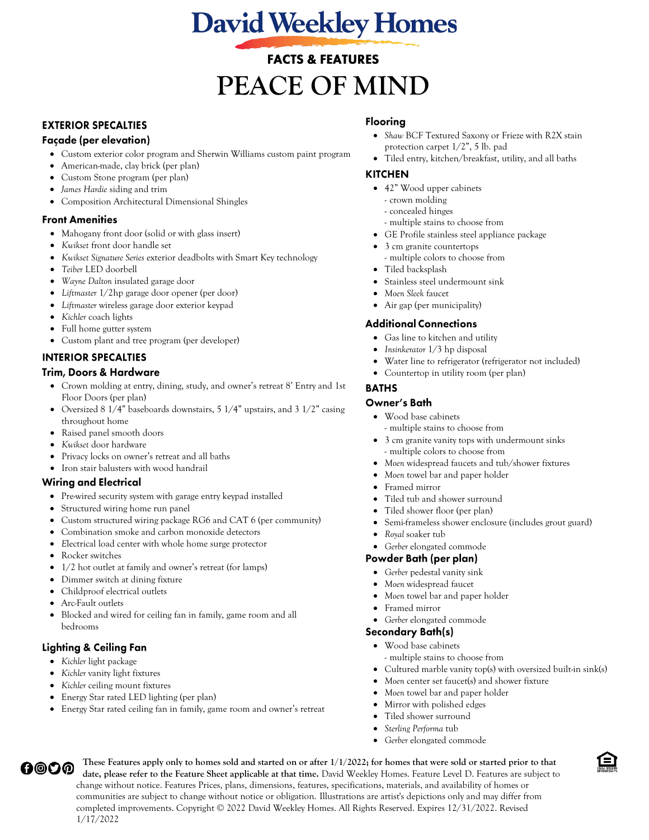**David Weekley Homes** 

# **FACTS & FEATURES PEACE OF MIND**

# **EXTERIOR SPECALTIES**

# Façade (per elevation)

- Custom exterior color program and Sherwin Williams custom paint program
- American-made, clay brick (per plan)
- Custom Stone program (per plan)
- *James Hardie* siding and trim
- Composition Architectural Dimensional Shingles

# **Front Amenities**

- Mahogany front door (solid or with glass insert)
- *Kwikset* front door handle set
- *Kwikset Signature Series* exterior deadbolts with Smart Key technology
- *Teiber* LED doorbell
- *Wayne Dalton* insulated garage door
- *Liftmaster* 1/2hp garage door opener (per door)
- *Liftmaster* wireless garage door exterior keypad
- *Kichler* coach lights
- Full home gutter system
- Custom plant and tree program (per developer)

# **INTERIOR SPECALTIES**

## **Trim, Doors & Hardware**

- Crown molding at entry, dining, study, and owner's retreat 8' Entry and 1st Floor Doors (per plan)
- Oversized 8 1/4" baseboards downstairs, 5 1/4" upstairs, and 3 1/2" casing throughout home
- Raised panel smooth doors
- *Kwikset* door hardware
- Privacy locks on owner's retreat and all baths
- Iron stair balusters with wood handrail

# **Wiring and Electrical**

- Pre-wired security system with garage entry keypad installed
- Structured wiring home run panel
- Custom structured wiring package RG6 and CAT 6 (per community)
- Combination smoke and carbon monoxide detectors
- *E*lectrical load center with whole home surge protector
- Rocker switches
- 1/2 hot outlet at family and owner's retreat (for lamps)
- Dimmer switch at dining fixture
- Childproof electrical outlets
- Arc-Fault outlets
- Blocked and wired for ceiling fan in family, game room and all bedrooms

# **Lighting & Ceiling Fan**

- *Kichler* light package
- *Kichler* vanity light fixtures
- *Kichler* ceiling mount fixtures
- Energy Star rated LED lighting (per plan)
- Energy Star rated ceiling fan in family, game room and owner's retreat

## Flooring

- *Shaw* BCF Textured Saxony or Frieze with R2X stain protection carpet 1/2", 5 lb. pad
- Tiled entry, kitchen/breakfast, utility, and all baths

#### **KITCHEN**

- 42" Wood upper cabinets
	- crown molding
	- concealed hinges
- multiple stains to choose from
- GE Profile stainless steel appliance package
- 3 cm granite countertops
	- multiple colors to choose from
- Tiled backsplash
- Stainless steel undermount sink
- *Moen Sleek* faucet
- Air gap (per municipality)

# **Additional Connections**

- Gas line to kitchen and utility
- *Insinkerator* 1/3 hp disposal
- Water line to refrigerator (refrigerator not included)
- Countertop in utility room (per plan)

# **BATHS**

# Owner's Bath

- Wood base cabinets
- multiple stains to choose from
- 3 cm granite vanity tops with undermount sinks - multiple colors to choose from
- *Moen* widespread faucets and tub/shower fixtures
- *Moen* towel bar and paper holder
	- Framed mirror
- Tiled tub and shower surround
- Tiled shower floor (per plan)
- Semi-frameless shower enclosure (includes grout guard)
- *Royal* soaker tub
- *Gerber* elongated commode

# Powder Bath (per plan)

- *Gerber* pedestal vanity sink
- *Moen* widespread faucet
- *Moen* towel bar and paper holder
- Framed mirror
- *Gerber* elongated commode

#### Secondary Bath(s)

- Wood base cabinets
	- multiple stains to choose from
- Cultured marble vanity top(s) with oversized built-in sink(s)
- *Moen* center set faucet(s) and shower fixture
- *Moen* towel bar and paper holder
- Mirror with polished edges
- Tiled shower surround
- *Sterling Performa* tub
- *Gerber* elongated commode

**These Features apply only to homes sold and started on or after 1/1/2022; for homes that were sold or started prior to that**  0©O@ **date, please refer to the Feature Sheet applicable at that time.** David Weekley Homes. Feature Level D. Features are subject to change without notice. Features Prices, plans, dimensions, features, specifications, materials, and availability of homes or communities are subject to change without notice or obligation. Illustrations are artist's depictions only and may differ from completed improvements. Copyright © 2022 David Weekley Homes. All Rights Reserved. Expires 12/31/2022. Revised 1/17/2022